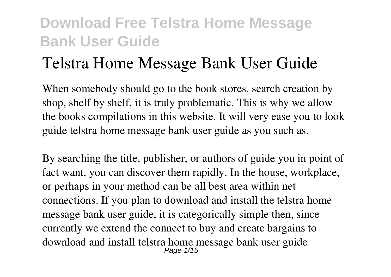## **Telstra Home Message Bank User Guide**

When somebody should go to the book stores, search creation by shop, shelf by shelf, it is truly problematic. This is why we allow the books compilations in this website. It will very ease you to look guide **telstra home message bank user guide** as you such as.

By searching the title, publisher, or authors of guide you in point of fact want, you can discover them rapidly. In the house, workplace, or perhaps in your method can be all best area within net connections. If you plan to download and install the telstra home message bank user guide, it is categorically simple then, since currently we extend the connect to buy and create bargains to download and install telstra home message bank user guide Page  $1/15$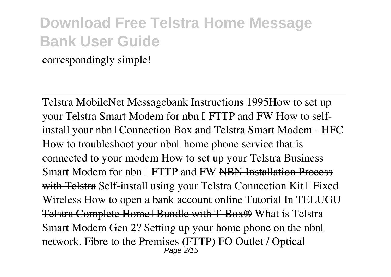correspondingly simple!

Telstra MobileNet Messagebank Instructions 1995**How to set up** your Telstra Smart Modem for nbn  $\mathbb{I}$  FTTP and FW How to self*install your nbn™ Connection Box and Telstra Smart Modem - HFC How to troubleshoot your nbnI* home phone service that is *connected to your modem How to set up your Telstra Business* **Smart Modem for nbn I FTTP and FW <del>NBN Installation Process</del>** with **Telstra** Self-install using your Telstra Connection Kit I Fixed *Wireless* How to open a bank account online Tutorial In TELUGU Telstra Complete Home<sup>[]</sup> Bundle with T-Box<sup>®</sup> What is Telstra Smart Modem Gen 2? Setting up your home phone on the nbn $\mathbb I$ network. Fibre to the Premises (FTTP) *FO Outlet / Optical* Page 2/15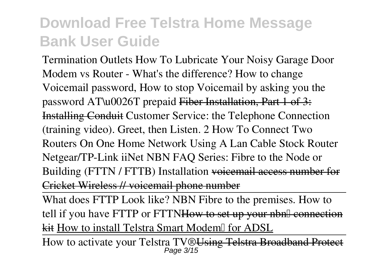*Termination Outlets* **How To Lubricate Your Noisy Garage Door** *Modem vs Router - What's the difference?* **How to change Voicemail password, How to stop Voicemail by asking you the password AT\u0026T prepaid** Fiber Installation, Part 1 of 3: Installing Conduit *Customer Service: the Telephone Connection (training video). Greet, then Listen. 2 How To Connect Two Routers On One Home Network Using A Lan Cable Stock Router Netgear/TP-Link iiNet NBN FAQ Series: Fibre to the Node or Building (FTTN / FTTB) Installation* voicemail access number for Cricket Wireless // voicemail phone number

What does FTTP Look like? NBN Fibre to the premises. How to tell if you have FTTP or FTTNHow to set up your nbnl connection kit How to install Telstra Smart Modem∏ for ADSL

How to activate your Telstra TV®Using Telstra Broadband Protect Page 3/15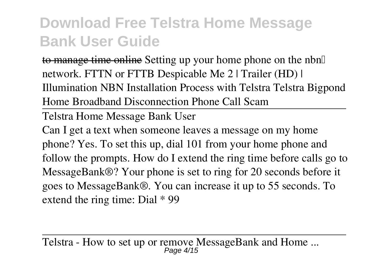to manage time online **Setting up your home phone on the nbn™ network. FTTN or FTTB Despicable Me 2 | Trailer (HD) | Illumination NBN Installation Process with Telstra** *Telstra Bigpond Home Broadband Disconnection Phone Call Scam*

Telstra Home Message Bank User

Can I get a text when someone leaves a message on my home phone? Yes. To set this up, dial 101 from your home phone and follow the prompts. How do I extend the ring time before calls go to MessageBank®? Your phone is set to ring for 20 seconds before it goes to MessageBank®. You can increase it up to 55 seconds. To extend the ring time: Dial \* 99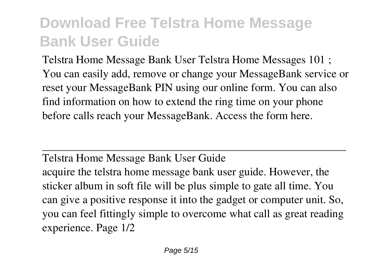Telstra Home Message Bank User Telstra Home Messages 101 ; You can easily add, remove or change your MessageBank service or reset your MessageBank PIN using our online form. You can also find information on how to extend the ring time on your phone before calls reach your MessageBank. Access the form here.

Telstra Home Message Bank User Guide acquire the telstra home message bank user guide. However, the sticker album in soft file will be plus simple to gate all time. You can give a positive response it into the gadget or computer unit. So, you can feel fittingly simple to overcome what call as great reading experience. Page 1/2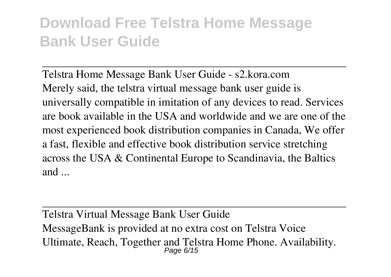Telstra Home Message Bank User Guide - s2.kora.com Merely said, the telstra virtual message bank user guide is universally compatible in imitation of any devices to read. Services are book available in the USA and worldwide and we are one of the most experienced book distribution companies in Canada, We offer a fast, flexible and effective book distribution service stretching across the USA & Continental Europe to Scandinavia, the Baltics and ...

Telstra Virtual Message Bank User Guide MessageBank is provided at no extra cost on Telstra Voice Ultimate, Reach, Together and Telstra Home Phone. Availability. Page 6/15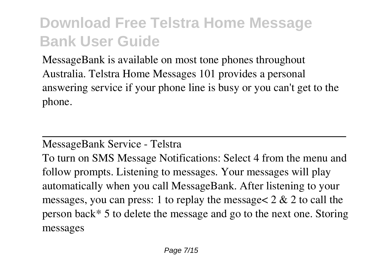MessageBank is available on most tone phones throughout Australia. Telstra Home Messages 101 provides a personal answering service if your phone line is busy or you can't get to the phone.

#### MessageBank Service - Telstra

To turn on SMS Message Notifications: Select 4 from the menu and follow prompts. Listening to messages. Your messages will play automatically when you call MessageBank. After listening to your messages, you can press: 1 to replay the message  $2 \& 2$  to call the person back\* 5 to delete the message and go to the next one. Storing messages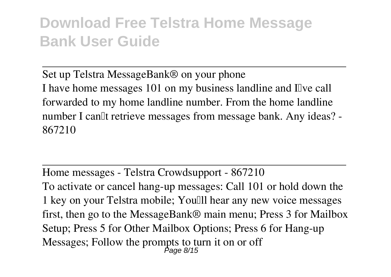Set up Telstra MessageBank® on your phone I have home messages 101 on my business landline and I've call forwarded to my home landline number. From the home landline number I can<sup>'''</sup> tetrieve messages from message bank. Any ideas? -867210

Home messages - Telstra Crowdsupport - 867210 To activate or cancel hang-up messages: Call 101 or hold down the 1 key on your Telstra mobile; You'll hear any new voice messages first, then go to the MessageBank® main menu; Press 3 for Mailbox Setup; Press 5 for Other Mailbox Options; Press 6 for Hang-up Messages; Follow the prompts to turn it on or off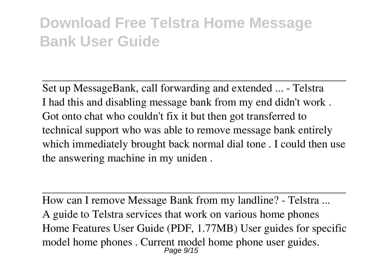Set up MessageBank, call forwarding and extended ... - Telstra I had this and disabling message bank from my end didn't work . Got onto chat who couldn't fix it but then got transferred to technical support who was able to remove message bank entirely which immediately brought back normal dial tone . I could then use the answering machine in my uniden .

How can I remove Message Bank from my landline? - Telstra ... A guide to Telstra services that work on various home phones Home Features User Guide (PDF, 1.77MB) User guides for specific model home phones . Current model home phone user guides. Page 9/15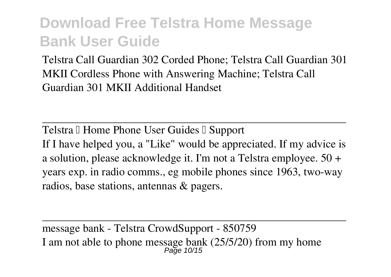Telstra Call Guardian 302 Corded Phone; Telstra Call Guardian 301 MKII Cordless Phone with Answering Machine; Telstra Call Guardian 301 MKII Additional Handset

Telstra II Home Phone User Guides II Support If I have helped you, a "Like" would be appreciated. If my advice is a solution, please acknowledge it. I'm not a Telstra employee. 50 + years exp. in radio comms., eg mobile phones since 1963, two-way radios, base stations, antennas & pagers.

message bank - Telstra CrowdSupport - 850759 I am not able to phone message bank (25/5/20) from my home Page 10/15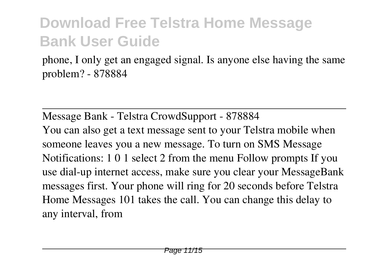phone, I only get an engaged signal. Is anyone else having the same problem? - 878884

Message Bank - Telstra CrowdSupport - 878884 You can also get a text message sent to your Telstra mobile when someone leaves you a new message. To turn on SMS Message Notifications: 1 0 1 select 2 from the menu Follow prompts If you use dial-up internet access, make sure you clear your MessageBank messages first. Your phone will ring for 20 seconds before Telstra Home Messages 101 takes the call. You can change this delay to any interval, from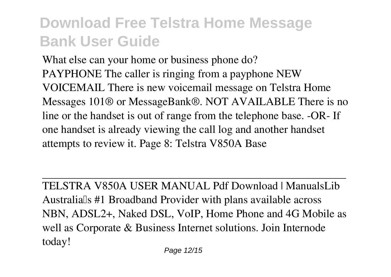What else can your home or business phone do? PAYPHONE The caller is ringing from a payphone NEW VOICEMAIL There is new voicemail message on Telstra Home Messages 101® or MessageBank®. NOT AVAILABLE There is no line or the handset is out of range from the telephone base. -OR- If one handset is already viewing the call log and another handset attempts to review it. Page 8: Telstra V850A Base

TELSTRA V850A USER MANUAL Pdf Download | ManualsLib Australia<sup>[]</sup>s #1 Broadband Provider with plans available across NBN, ADSL2+, Naked DSL, VoIP, Home Phone and 4G Mobile as well as Corporate & Business Internet solutions. Join Internode today!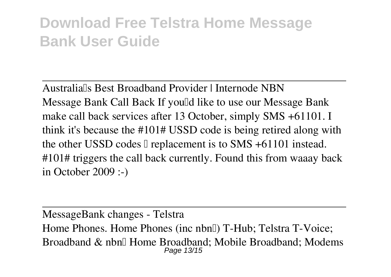Australia<sup>ll</sup>s Best Broadband Provider | Internode NBN Message Bank Call Back If you'd like to use our Message Bank make call back services after 13 October, simply SMS +61101. I think it's because the #101# USSD code is being retired along with the other USSD codes  $\mathbb I$  replacement is to SMS +61101 instead. #101# triggers the call back currently. Found this from waaay back in October 2009 :-)

MessageBank changes - Telstra Home Phones. Home Phones (inc nbnll) T-Hub; Telstra T-Voice; Broadband & nbn∏ Home Broadband; Mobile Broadband; Modems Page 13/15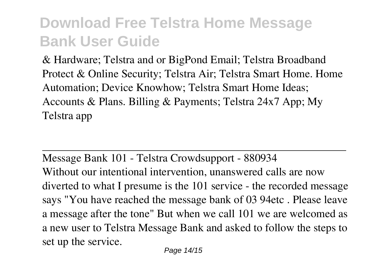& Hardware; Telstra and or BigPond Email; Telstra Broadband Protect & Online Security; Telstra Air; Telstra Smart Home. Home Automation; Device Knowhow; Telstra Smart Home Ideas; Accounts & Plans. Billing & Payments; Telstra 24x7 App; My Telstra app

Message Bank 101 - Telstra Crowdsupport - 880934 Without our intentional intervention, unanswered calls are now diverted to what I presume is the 101 service - the recorded message says "You have reached the message bank of 03 94etc . Please leave a message after the tone" But when we call 101 we are welcomed as a new user to Telstra Message Bank and asked to follow the steps to set up the service.